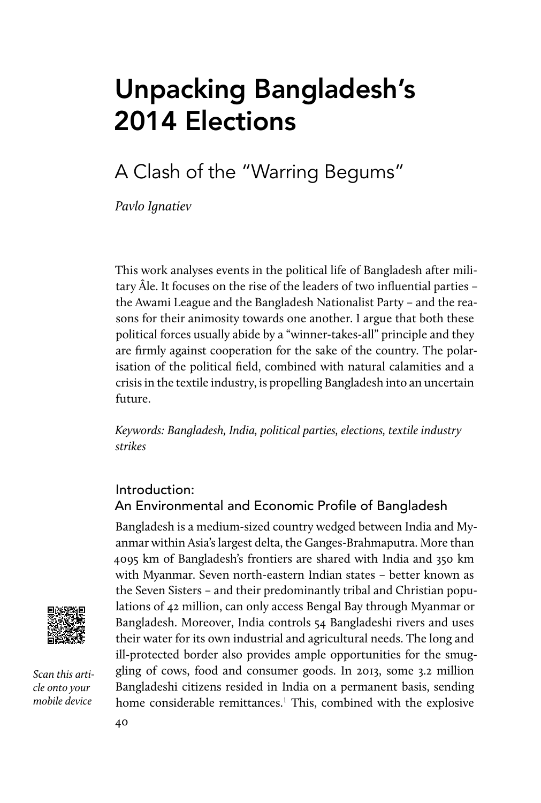# Unpacking Bangladesh's 2014 Elections

## A Clash of the "Warring Begums"

Pavlo Ignatiev

This work analyses events in the political life of Bangladesh after military Âle. It focuses on the rise of the leaders of two influential parties – the Awami League and the Bangladesh Nationalist Party – and the reasons for their animosity towards one another. I argue that both these political forces usually abide by a "winner-takes-all" principle and they are firmly against cooperation for the sake of the country. The polarisation of the political field, combined with natural calamities and a crisis in the textile industry, is propelling Bangladesh into an uncertain future.

Keywords: Bangladesh, India, political parties, elections, textile industry strikes

#### Introduction: An Environmental and Economic Profile of Bangladesh

Bangladesh is a medium-sized country wedged between India and Myanmar within Asia's largest delta, the Ganges-Brahmaputra. More than 4095 km of Bangladesh's frontiers are shared with India and 350 km with Myanmar. Seven north-eastern Indian states – better known as the Seven Sisters – and their predominantly tribal and Christian populations of 42 million, can only access Bengal Bay through Myanmar or Bangladesh. Moreover, India controls 54 Bangladeshi rivers and uses their water for its own industrial and agricultural needs. The long and ill-protected border also provides ample opportunities for the smuggling of cows, food and consumer goods. In 2013, some 3.2 million Bangladeshi citizens resided in India on a permanent basis, sending home considerable remittances.<sup>1</sup> This, combined with the explosive



Scan this article onto your mobile device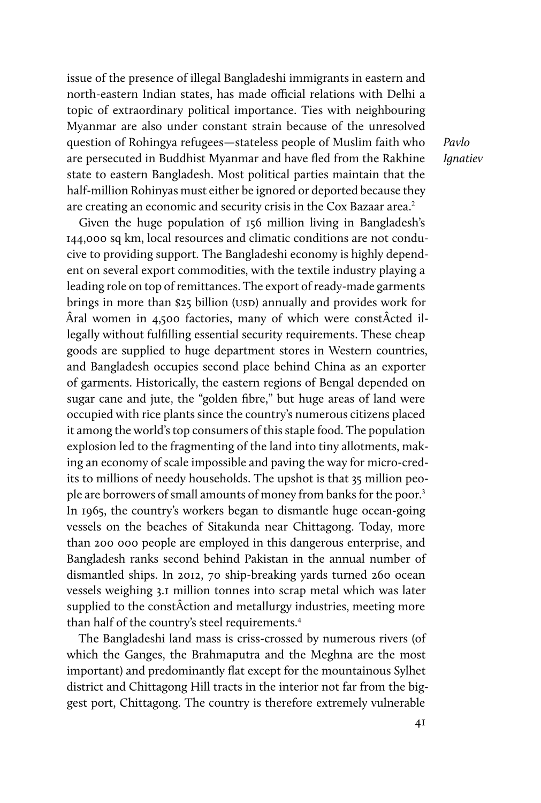issue of the presence of illegal Bangladeshi immigrants in eastern and north-eastern Indian states, has made official relations with Delhi a topic of extraordinary political importance. Ties with neighbouring Myanmar are also under constant strain because of the unresolved question of Rohingya refugees—stateless people of Muslim faith who are persecuted in Buddhist Myanmar and have fled from the Rakhine state to eastern Bangladesh. Most political parties maintain that the half-million Rohinyas must either be ignored or deported because they are creating an economic and security crisis in the Cox Bazaar area.<sup>2</sup>

Given the huge population of 156 million living in Bangladesh's 144,000 sq km, local resources and climatic conditions are not conducive to providing support. The Bangladeshi economy is highly dependent on several export commodities, with the textile industry playing a leading role on top of remittances. The export of ready-made garments brings in more than \$25 billion (USD) annually and provides work for Âral women in 4,500 factories, many of which were constÂcted illegally without fulfilling essential security requirements. These cheap goods are supplied to huge department stores in Western countries, and Bangladesh occupies second place behind China as an exporter of garments. Historically, the eastern regions of Bengal depended on sugar cane and jute, the "golden fibre," but huge areas of land were occupied with rice plants since the country's numerous citizens placed it among the world's top consumers of this staple food. The population explosion led to the fragmenting of the land into tiny allotments, making an economy of scale impossible and paving the way for micro-credits to millions of needy households. The upshot is that 35 million people are borrowers of small amounts of money from banks for the poor.<sup>3</sup> In 1965, the country's workers began to dismantle huge ocean-going vessels on the beaches of Sitakunda near Chittagong. Today, more than 200 000 people are employed in this dangerous enterprise, and Bangladesh ranks second behind Pakistan in the annual number of dismantled ships. In 2012, 70 ship-breaking yards turned 260 ocean vessels weighing 3.1 million tonnes into scrap metal which was later supplied to the constÂction and metallurgy industries, meeting more than half of the country's steel requirements.<sup>4</sup>

The Bangladeshi land mass is criss-crossed by numerous rivers (of which the Ganges, the Brahmaputra and the Meghna are the most important) and predominantly flat except for the mountainous Sylhet district and Chittagong Hill tracts in the interior not far from the biggest port, Chittagong. The country is therefore extremely vulnerable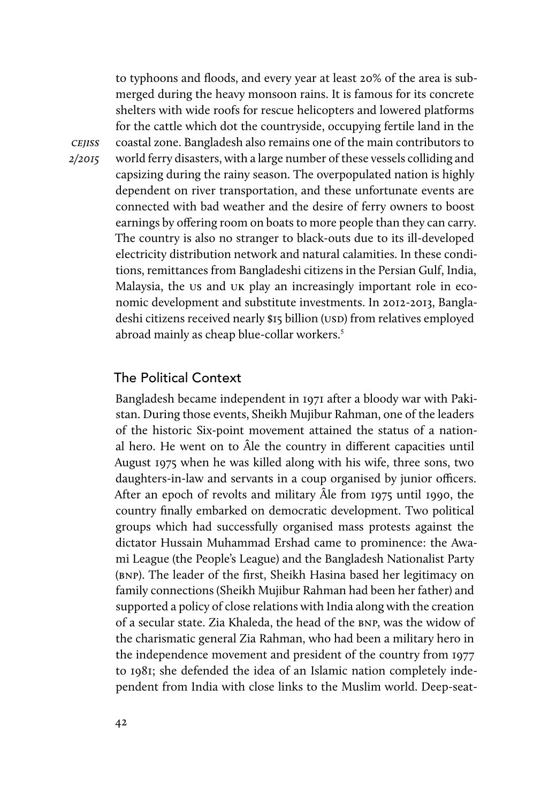to typhoons and floods, and every year at least 20% of the area is submerged during the heavy monsoon rains. It is famous for its concrete shelters with wide roofs for rescue helicopters and lowered platforms for the cattle which dot the countryside, occupying fertile land in the coastal zone. Bangladesh also remains one of the main contributors to world ferry disasters, with a large number of these vessels colliding and capsizing during the rainy season. The overpopulated nation is highly dependent on river transportation, and these unfortunate events are connected with bad weather and the desire of ferry owners to boost earnings by offering room on boats to more people than they can carry. The country is also no stranger to black-outs due to its ill-developed electricity distribution network and natural calamities. In these conditions, remittances from Bangladeshi citizens in the Persian Gulf, India, Malaysia, the us and uk play an increasingly important role in economic development and substitute investments. In 2012-2013, Bangladeshi citizens received nearly \$15 billion (USD) from relatives employed abroad mainly as cheap blue-collar workers.<sup>5</sup>

#### The Political Context

**CEJISS** 2/2015

> Bangladesh became independent in 1971 after a bloody war with Pakistan. During those events, Sheikh Mujibur Rahman, one of the leaders of the historic Six-point movement attained the status of a national hero. He went on to Âle the country in different capacities until August 1975 when he was killed along with his wife, three sons, two daughters-in-law and servants in a coup organised by junior officers. After an epoch of revolts and military Âle from 1975 until 1990, the country finally embarked on democratic development. Two political groups which had successfully organised mass protests against the dictator Hussain Muhammad Ershad came to prominence: the Awami League (the People's League) and the Bangladesh Nationalist Party (bnp). The leader of the first, Sheikh Hasina based her legitimacy on family connections (Sheikh Mujibur Rahman had been her father) and supported a policy of close relations with India along with the creation of a secular state. Zia Khaleda, the head of the bnp, was the widow of the charismatic general Zia Rahman, who had been a military hero in the independence movement and president of the country from 1977 to 1981; she defended the idea of an Islamic nation completely independent from India with close links to the Muslim world. Deep-seat-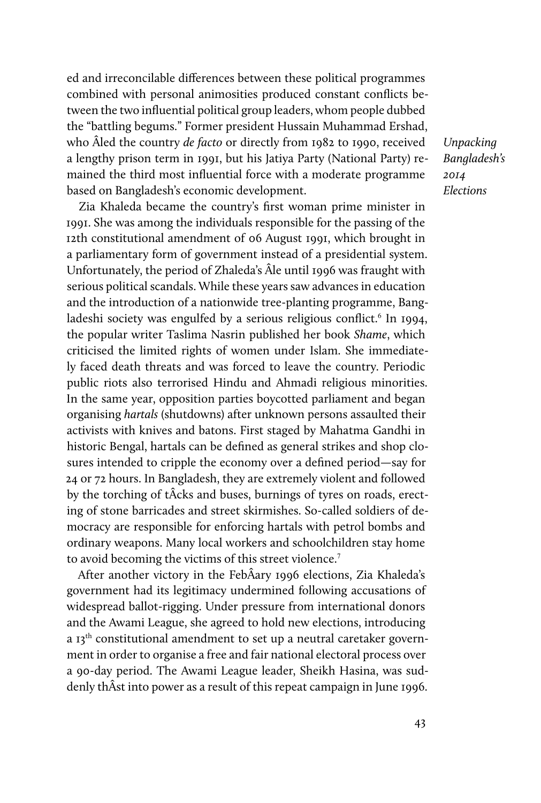ed and irreconcilable differences between these political programmes combined with personal animosities produced constant conflicts between the two influential political group leaders, whom people dubbed the "battling begums." Former president Hussain Muhammad Ershad, who Âled the country de facto or directly from 1982 to 1990, received a lengthy prison term in 1991, but his Jatiya Party (National Party) remained the third most influential force with a moderate programme based on Bangladesh's economic development.

Zia Khaleda became the country's first woman prime minister in 1991. She was among the individuals responsible for the passing of the 12th constitutional amendment of 06 August 1991, which brought in a parliamentary form of government instead of a presidential system. Unfortunately, the period of Zhaleda's Âle until 1996 was fraught with serious political scandals. While these years saw advances in education and the introduction of a nationwide tree-planting programme, Bangladeshi society was engulfed by a serious religious conflict.<sup>6</sup> In 1994, the popular writer Taslima Nasrin published her book Shame, which criticised the limited rights of women under Islam. She immediately faced death threats and was forced to leave the country. Periodic public riots also terrorised Hindu and Ahmadi religious minorities. In the same year, opposition parties boycotted parliament and began organising hartals (shutdowns) after unknown persons assaulted their activists with knives and batons. First staged by Mahatma Gandhi in historic Bengal, hartals can be defined as general strikes and shop closures intended to cripple the economy over a defined period—say for 24 or 72 hours. In Bangladesh, they are extremely violent and followed by the torching of tÂcks and buses, burnings of tyres on roads, erecting of stone barricades and street skirmishes. So-called soldiers of democracy are responsible for enforcing hartals with petrol bombs and ordinary weapons. Many local workers and schoolchildren stay home to avoid becoming the victims of this street violence.<sup>7</sup>

After another victory in the FebÂary 1996 elections, Zia Khaleda's government had its legitimacy undermined following accusations of widespread ballot-rigging. Under pressure from international donors and the Awami League, she agreed to hold new elections, introducing a  $I3<sup>th</sup>$  constitutional amendment to set up a neutral caretaker government in order to organise a free and fair national electoral process over a 90-day period. The Awami League leader, Sheikh Hasina, was suddenly thÂst into power as a result of this repeat campaign in June 1996.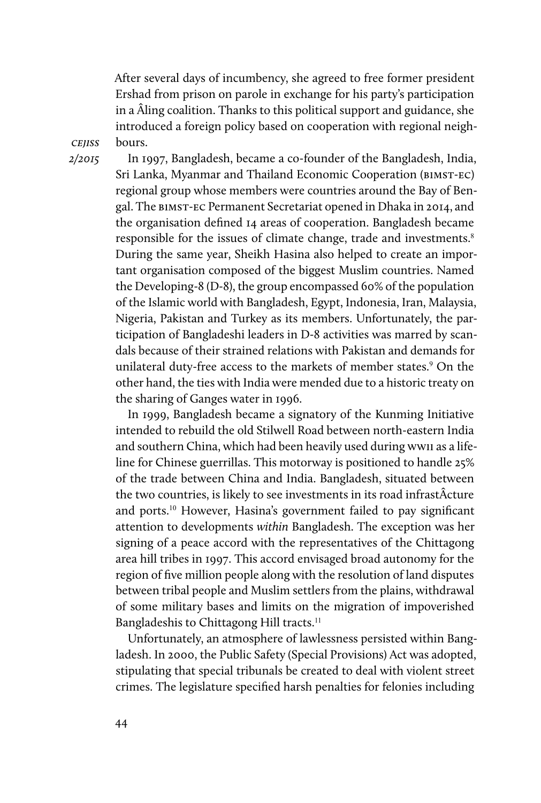After several days of incumbency, she agreed to free former president Ershad from prison on parole in exchange for his party's participation in a Âling coalition. Thanks to this political support and guidance, she introduced a foreign policy based on cooperation with regional neighbours.

**CEJISS** 2/2015

In 1997, Bangladesh, became a co-founder of the Bangladesh, India, Sri Lanka, Myanmar and Thailand Economic Cooperation (bimst-ec) regional group whose members were countries around the Bay of Bengal. The bimst-ec Permanent Secretariat opened in Dhaka in 2014, and the organisation defined 14 areas of cooperation. Bangladesh became responsible for the issues of climate change, trade and investments.<sup>8</sup> During the same year, Sheikh Hasina also helped to create an important organisation composed of the biggest Muslim countries. Named the Developing-8 (D-8), the group encompassed 60% of the population of the Islamic world with Bangladesh, Egypt, Indonesia, Iran, Malaysia, Nigeria, Pakistan and Turkey as its members. Unfortunately, the participation of Bangladeshi leaders in D-8 activities was marred by scandals because of their strained relations with Pakistan and demands for unilateral duty-free access to the markets of member states.<sup>9</sup> On the other hand, the ties with India were mended due to a historic treaty on the sharing of Ganges water in 1996.

In 1999, Bangladesh became a signatory of the Kunming Initiative intended to rebuild the old Stilwell Road between north-eastern India and southern China, which had been heavily used during wwii as a lifeline for Chinese guerrillas. This motorway is positioned to handle 25% of the trade between China and India. Bangladesh, situated between the two countries, is likely to see investments in its road infrastÂcture and ports.<sup>10</sup> However, Hasina's government failed to pay significant attention to developments within Bangladesh. The exception was her signing of a peace accord with the representatives of the Chittagong area hill tribes in 1997. This accord envisaged broad autonomy for the region of five million people along with the resolution of land disputes between tribal people and Muslim settlers from the plains, withdrawal of some military bases and limits on the migration of impoverished Bangladeshis to Chittagong Hill tracts.<sup>11</sup>

Unfortunately, an atmosphere of lawlessness persisted within Bangladesh. In 2000, the Public Safety (Special Provisions) Act was adopted, stipulating that special tribunals be created to deal with violent street crimes. The legislature specified harsh penalties for felonies including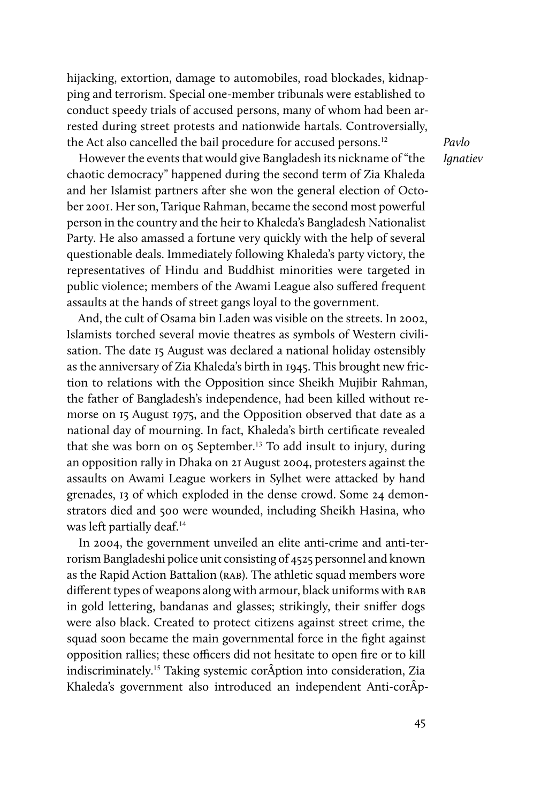hijacking, extortion, damage to automobiles, road blockades, kidnapping and terrorism. Special one-member tribunals were established to conduct speedy trials of accused persons, many of whom had been arrested during street protests and nationwide hartals. Controversially, the Act also cancelled the bail procedure for accused persons.<sup>12</sup>

However the events that would give Bangladesh its nickname of "the chaotic democracy" happened during the second term of Zia Khaleda and her Islamist partners after she won the general election of October 2001. Her son, Tarique Rahman, became the second most powerful person in the country and the heir to Khaleda's Bangladesh Nationalist Party. He also amassed a fortune very quickly with the help of several questionable deals. Immediately following Khaleda's party victory, the representatives of Hindu and Buddhist minorities were targeted in public violence; members of the Awami League also suffered frequent assaults at the hands of street gangs loyal to the government.

And, the cult of Osama bin Laden was visible on the streets. In 2002, Islamists torched several movie theatres as symbols of Western civilisation. The date 15 August was declared a national holiday ostensibly as the anniversary of Zia Khaleda's birth in 1945. This brought new friction to relations with the Opposition since Sheikh Mujibir Rahman, the father of Bangladesh's independence, had been killed without remorse on 15 August 1975, and the Opposition observed that date as a national day of mourning. In fact, Khaleda's birth certificate revealed that she was born on 05 September.<sup>13</sup> To add insult to injury, during an opposition rally in Dhaka on 21 August 2004, protesters against the assaults on Awami League workers in Sylhet were attacked by hand grenades, 13 of which exploded in the dense crowd. Some 24 demonstrators died and 500 were wounded, including Sheikh Hasina, who was left partially deaf.<sup>14</sup>

In 2004, the government unveiled an elite anti-crime and anti-terrorism Bangladeshi police unit consisting of 4525 personnel and known as the Rapid Action Battalion (RAB). The athletic squad members wore different types of weapons along with armour, black uniforms with rab in gold lettering, bandanas and glasses; strikingly, their sniffer dogs were also black. Created to protect citizens against street crime, the squad soon became the main governmental force in the fight against opposition rallies; these officers did not hesitate to open fire or to kill indiscriminately.<sup>15</sup> Taking systemic corÂption into consideration, Zia Khaleda's government also introduced an independent Anti-corÂp-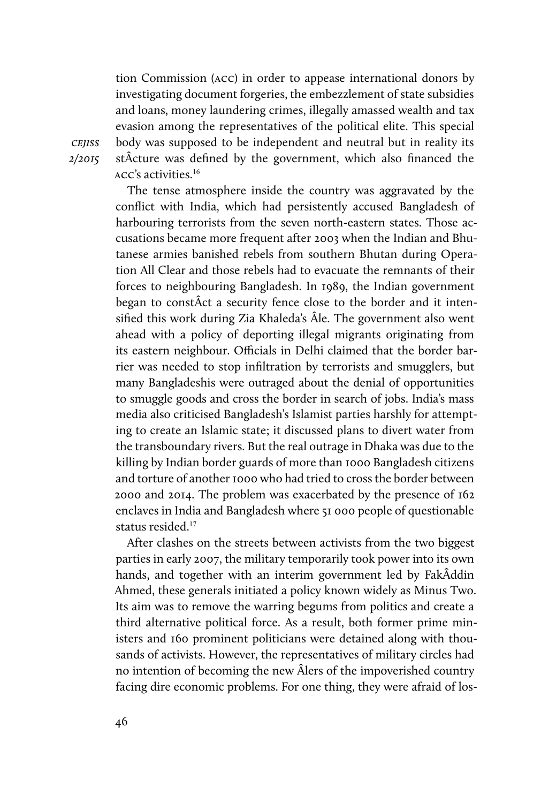tion Commission (acc) in order to appease international donors by investigating document forgeries, the embezzlement of state subsidies and loans, money laundering crimes, illegally amassed wealth and tax evasion among the representatives of the political elite. This special body was supposed to be independent and neutral but in reality its stÂcture was defined by the government, which also financed the acc's activities.<sup>16</sup>

The tense atmosphere inside the country was aggravated by the conflict with India, which had persistently accused Bangladesh of harbouring terrorists from the seven north-eastern states. Those accusations became more frequent after 2003 when the Indian and Bhutanese armies banished rebels from southern Bhutan during Operation All Clear and those rebels had to evacuate the remnants of their forces to neighbouring Bangladesh. In 1989, the Indian government began to constÂct a security fence close to the border and it intensified this work during Zia Khaleda's Âle. The government also went ahead with a policy of deporting illegal migrants originating from its eastern neighbour. Officials in Delhi claimed that the border barrier was needed to stop infiltration by terrorists and smugglers, but many Bangladeshis were outraged about the denial of opportunities to smuggle goods and cross the border in search of jobs. India's mass media also criticised Bangladesh's Islamist parties harshly for attempting to create an Islamic state; it discussed plans to divert water from the transboundary rivers. But the real outrage in Dhaka was due to the killing by Indian border guards of more than 1000 Bangladesh citizens and torture of another 1000 who had tried to cross the border between 2000 and 2014. The problem was exacerbated by the presence of 162 enclaves in India and Bangladesh where 51 000 people of questionable status resided.<sup>17</sup>

After clashes on the streets between activists from the two biggest parties in early 2007, the military temporarily took power into its own hands, and together with an interim government led by FakÂddin Ahmed, these generals initiated a policy known widely as Minus Two. Its aim was to remove the warring begums from politics and create a third alternative political force. As a result, both former prime ministers and 160 prominent politicians were detained along with thousands of activists. However, the representatives of military circles had no intention of becoming the new Âlers of the impoverished country facing dire economic problems. For one thing, they were afraid of los-

cejiss 2/2015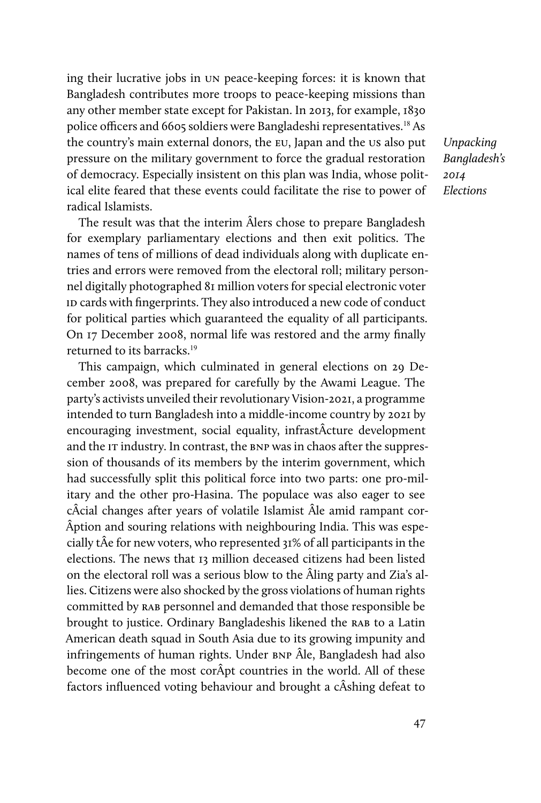ing their lucrative jobs in un peace-keeping forces: it is known that Bangladesh contributes more troops to peace-keeping missions than any other member state except for Pakistan. In 2013, for example, 1830 police officers and 6605 soldiers were Bangladeshi representatives.<sup>18</sup> As the country's main external donors, the eu, Japan and the us also put pressure on the military government to force the gradual restoration of democracy. Especially insistent on this plan was India, whose political elite feared that these events could facilitate the rise to power of radical Islamists.

The result was that the interim Âlers chose to prepare Bangladesh for exemplary parliamentary elections and then exit politics. The names of tens of millions of dead individuals along with duplicate entries and errors were removed from the electoral roll; military personnel digitally photographed 81 million voters for special electronic voter ID cards with fingerprints. They also introduced a new code of conduct for political parties which guaranteed the equality of all participants. On 17 December 2008, normal life was restored and the army finally returned to its barracks.<sup>19</sup>

This campaign, which culminated in general elections on 29 December 2008, was prepared for carefully by the Awami League. The party's activists unveiled their revolutionary Vision-2021, a programme intended to turn Bangladesh into a middle-income country by 2021 by encouraging investment, social equality, infrastÂcture development and the IT industry. In contrast, the BNP was in chaos after the suppression of thousands of its members by the interim government, which had successfully split this political force into two parts: one pro-military and the other pro-Hasina. The populace was also eager to see cÂcial changes after years of volatile Islamist Âle amid rampant cor-Âption and souring relations with neighbouring India. This was especially tÂe for new voters, who represented 31% of all participants in the elections. The news that 13 million deceased citizens had been listed on the electoral roll was a serious blow to the Âling party and Zia's allies. Citizens were also shocked by the gross violations of human rights committed by RAB personnel and demanded that those responsible be brought to justice. Ordinary Bangladeshis likened the RAB to a Latin American death squad in South Asia due to its growing impunity and infringements of human rights. Under bnp Âle, Bangladesh had also become one of the most corÂpt countries in the world. All of these factors influenced voting behaviour and brought a cÂshing defeat to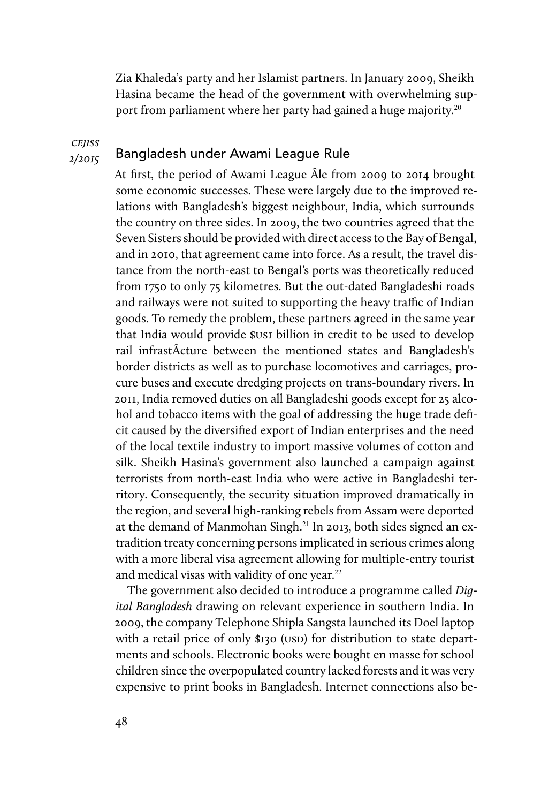Zia Khaleda's party and her Islamist partners. In January 2009, Sheikh Hasina became the head of the government with overwhelming support from parliament where her party had gained a huge majority.<sup>20</sup>

**CEJISS** 2/2015

#### Bangladesh under Awami League Rule

At first, the period of Awami League Âle from 2009 to 2014 brought some economic successes. These were largely due to the improved relations with Bangladesh's biggest neighbour, India, which surrounds the country on three sides. In 2009, the two countries agreed that the Seven Sisters should be provided with direct access to the Bay of Bengal, and in 2010, that agreement came into force. As a result, the travel distance from the north-east to Bengal's ports was theoretically reduced from 1750 to only 75 kilometres. But the out-dated Bangladeshi roads and railways were not suited to supporting the heavy traffic of Indian goods. To remedy the problem, these partners agreed in the same year that India would provide \$us1 billion in credit to be used to develop rail infrastÂcture between the mentioned states and Bangladesh's border districts as well as to purchase locomotives and carriages, procure buses and execute dredging projects on trans-boundary rivers. In 2011, India removed duties on all Bangladeshi goods except for 25 alcohol and tobacco items with the goal of addressing the huge trade deficit caused by the diversified export of Indian enterprises and the need of the local textile industry to import massive volumes of cotton and silk. Sheikh Hasina's government also launched a campaign against terrorists from north-east India who were active in Bangladeshi territory. Consequently, the security situation improved dramatically in the region, and several high-ranking rebels from Assam were deported at the demand of Manmohan Singh.<sup>21</sup> In 2013, both sides signed an extradition treaty concerning persons implicated in serious crimes along with a more liberal visa agreement allowing for multiple-entry tourist and medical visas with validity of one year.<sup>22</sup>

The government also decided to introduce a programme called Digital Bangladesh drawing on relevant experience in southern India. In 2009, the company Telephone Shipla Sangsta launched its Doel laptop with a retail price of only \$130 (USD) for distribution to state departments and schools. Electronic books were bought en masse for school children since the overpopulated country lacked forests and it was very expensive to print books in Bangladesh. Internet connections also be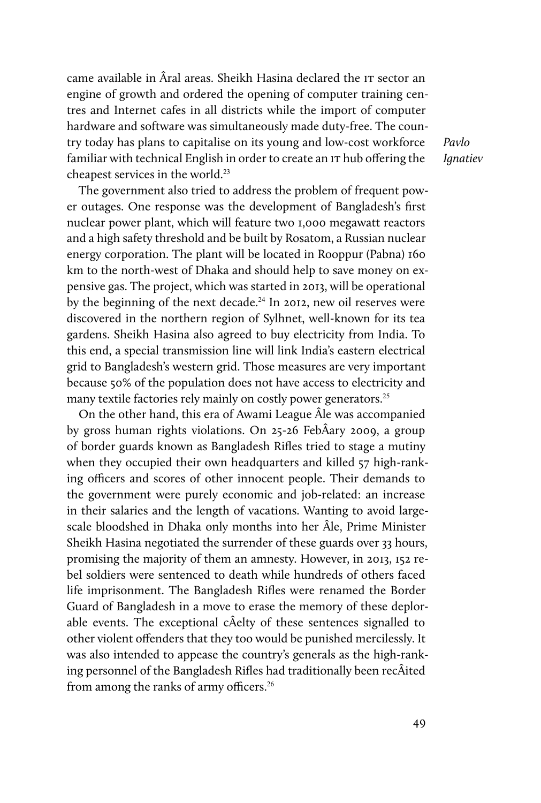came available in Âral areas. Sheikh Hasina declared the IT sector an engine of growth and ordered the opening of computer training centres and Internet cafes in all districts while the import of computer hardware and software was simultaneously made duty-free. The country today has plans to capitalise on its young and low-cost workforce familiar with technical English in order to create an IT hub offering the cheapest services in the world.<sup>23</sup>

Pavlo **Ianatiev** 

The government also tried to address the problem of frequent power outages. One response was the development of Bangladesh's first nuclear power plant, which will feature two 1,000 megawatt reactors and a high safety threshold and be built by Rosatom, a Russian nuclear energy corporation. The plant will be located in Rooppur (Pabna) 160 km to the north-west of Dhaka and should help to save money on expensive gas. The project, which was started in 2013, will be operational by the beginning of the next decade.<sup>24</sup> In 2012, new oil reserves were discovered in the northern region of Sylhnet, well-known for its tea gardens. Sheikh Hasina also agreed to buy electricity from India. To this end, a special transmission line will link India's eastern electrical grid to Bangladesh's western grid. Those measures are very important because 50% of the population does not have access to electricity and many textile factories rely mainly on costly power generators.<sup>25</sup>

On the other hand, this era of Awami League Âle was accompanied by gross human rights violations. On 25-26 FebÂary 2009, a group of border guards known as Bangladesh Rifles tried to stage a mutiny when they occupied their own headquarters and killed 57 high-ranking officers and scores of other innocent people. Their demands to the government were purely economic and job-related: an increase in their salaries and the length of vacations. Wanting to avoid largescale bloodshed in Dhaka only months into her Âle, Prime Minister Sheikh Hasina negotiated the surrender of these guards over 33 hours, promising the majority of them an amnesty. However, in 2013, 152 rebel soldiers were sentenced to death while hundreds of others faced life imprisonment. The Bangladesh Rifles were renamed the Border Guard of Bangladesh in a move to erase the memory of these deplorable events. The exceptional cÂelty of these sentences signalled to other violent offenders that they too would be punished mercilessly. It was also intended to appease the country's generals as the high-ranking personnel of the Bangladesh Rifles had traditionally been recÂited from among the ranks of army officers.<sup>26</sup>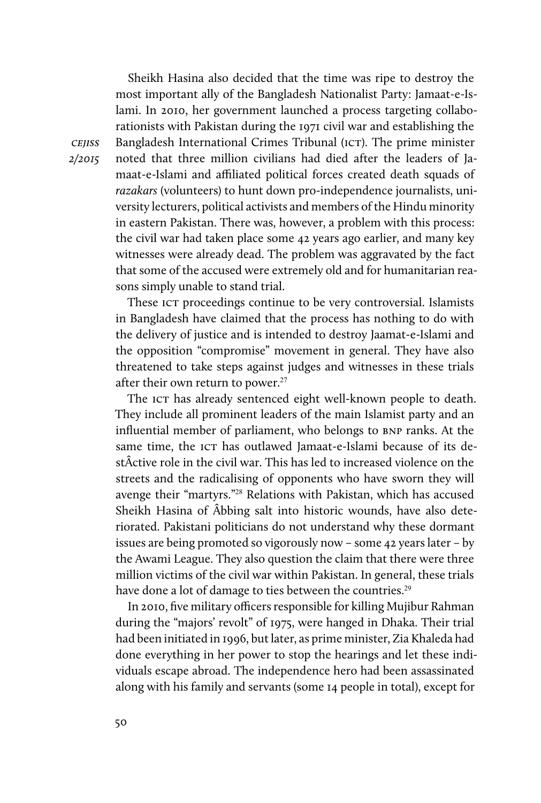Sheikh Hasina also decided that the time was ripe to destroy the most important ally of the Bangladesh Nationalist Party: Jamaat-e-Islami. In 2010, her government launched a process targeting collaborationists with Pakistan during the 1971 civil war and establishing the Bangladesh International Crimes Tribunal (ICT). The prime minister noted that three million civilians had died after the leaders of Jamaat-e-Islami and affiliated political forces created death squads of razakars (volunteers) to hunt down pro-independence journalists, university lecturers, political activists and members of the Hindu minority in eastern Pakistan. There was, however, a problem with this process: the civil war had taken place some 42 years ago earlier, and many key witnesses were already dead. The problem was aggravated by the fact that some of the accused were extremely old and for humanitarian reasons simply unable to stand trial.

These ICT proceedings continue to be very controversial. Islamists in Bangladesh have claimed that the process has nothing to do with the delivery of justice and is intended to destroy Jaamat-e-Islami and the opposition "compromise" movement in general. They have also threatened to take steps against judges and witnesses in these trials after their own return to power.<sup>27</sup>

The ICT has already sentenced eight well-known people to death. They include all prominent leaders of the main Islamist party and an influential member of parliament, who belongs to BNP ranks. At the same time, the ICT has outlawed Jamaat-e-Islami because of its destÂctive role in the civil war. This has led to increased violence on the streets and the radicalising of opponents who have sworn they will avenge their "martyrs."<sup>28</sup> Relations with Pakistan, which has accused Sheikh Hasina of Âbbing salt into historic wounds, have also deteriorated. Pakistani politicians do not understand why these dormant issues are being promoted so vigorously now – some 42 years later – by the Awami League. They also question the claim that there were three million victims of the civil war within Pakistan. In general, these trials have done a lot of damage to ties between the countries.<sup>29</sup>

In 2010, five military officers responsible for killing Mujibur Rahman during the "majors' revolt" of 1975, were hanged in Dhaka. Their trial had been initiated in 1996, but later, as prime minister, Zia Khaleda had done everything in her power to stop the hearings and let these individuals escape abroad. The independence hero had been assassinated along with his family and servants (some 14 people in total), except for

**CEJISS** 2/2015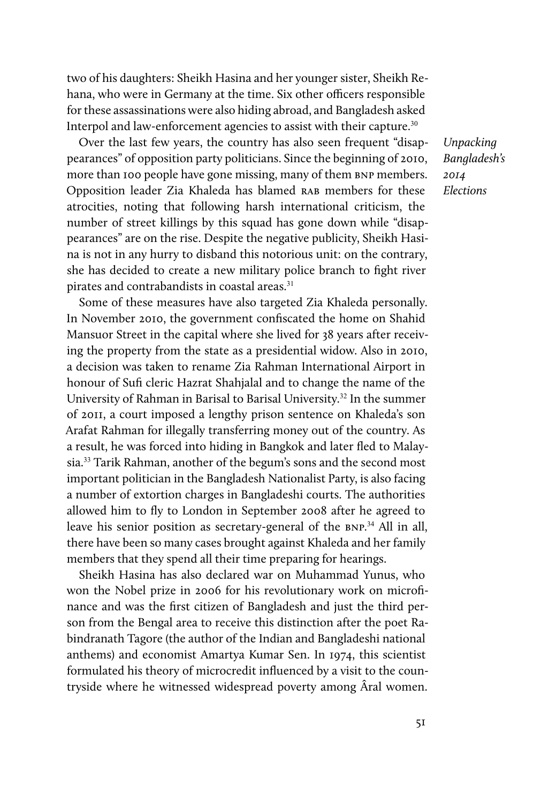two of his daughters: Sheikh Hasina and her younger sister, Sheikh Rehana, who were in Germany at the time. Six other officers responsible for these assassinations were also hiding abroad, and Bangladesh asked Interpol and law-enforcement agencies to assist with their capture.<sup>30</sup>

Over the last few years, the country has also seen frequent "disappearances" of opposition party politicians. Since the beginning of 2010, more than 100 people have gone missing, many of them BNP members. Opposition leader Zia Khaleda has blamed rab members for these atrocities, noting that following harsh international criticism, the number of street killings by this squad has gone down while "disappearances" are on the rise. Despite the negative publicity, Sheikh Hasina is not in any hurry to disband this notorious unit: on the contrary, she has decided to create a new military police branch to fight river pirates and contrabandists in coastal areas.<sup>31</sup>

Some of these measures have also targeted Zia Khaleda personally. In November 2010, the government confiscated the home on Shahid Mansuor Street in the capital where she lived for 38 years after receiving the property from the state as a presidential widow. Also in 2010, a decision was taken to rename Zia Rahman International Airport in honour of Sufi cleric Hazrat Shahjalal and to change the name of the University of Rahman in Barisal to Barisal University.<sup>32</sup> In the summer of 2011, a court imposed a lengthy prison sentence on Khaleda's son Arafat Rahman for illegally transferring money out of the country. As a result, he was forced into hiding in Bangkok and later fled to Malaysia.<sup>33</sup> Tarik Rahman, another of the begum's sons and the second most important politician in the Bangladesh Nationalist Party, is also facing a number of extortion charges in Bangladeshi courts. The authorities allowed him to fly to London in September 2008 after he agreed to leave his senior position as secretary-general of the BNP.<sup>34</sup> All in all, there have been so many cases brought against Khaleda and her family members that they spend all their time preparing for hearings.

Sheikh Hasina has also declared war on Muhammad Yunus, who won the Nobel prize in 2006 for his revolutionary work on microfinance and was the first citizen of Bangladesh and just the third person from the Bengal area to receive this distinction after the poet Rabindranath Tagore (the author of the Indian and Bangladeshi national anthems) and economist Amartya Kumar Sen. In 1974, this scientist formulated his theory of microcredit influenced by a visit to the countryside where he witnessed widespread poverty among Âral women.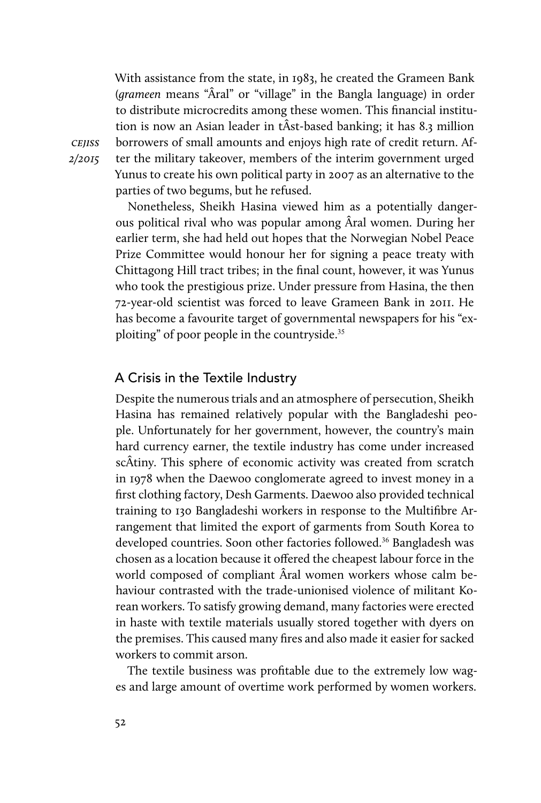With assistance from the state, in 1983, he created the Grameen Bank (grameen means "Âral" or "village" in the Bangla language) in order to distribute microcredits among these women. This financial institution is now an Asian leader in tÂst-based banking; it has 8.3 million borrowers of small amounts and enjoys high rate of credit return. After the military takeover, members of the interim government urged Yunus to create his own political party in 2007 as an alternative to the parties of two begums, but he refused.

Nonetheless, Sheikh Hasina viewed him as a potentially dangerous political rival who was popular among Âral women. During her earlier term, she had held out hopes that the Norwegian Nobel Peace Prize Committee would honour her for signing a peace treaty with Chittagong Hill tract tribes; in the final count, however, it was Yunus who took the prestigious prize. Under pressure from Hasina, the then 72-year-old scientist was forced to leave Grameen Bank in 2011. He has become a favourite target of governmental newspapers for his "exploiting" of poor people in the countryside.<sup>35</sup>

#### A Crisis in the Textile Industry

Despite the numerous trials and an atmosphere of persecution, Sheikh Hasina has remained relatively popular with the Bangladeshi people. Unfortunately for her government, however, the country's main hard currency earner, the textile industry has come under increased scÂtiny. This sphere of economic activity was created from scratch in 1978 when the Daewoo conglomerate agreed to invest money in a first clothing factory, Desh Garments. Daewoo also provided technical training to 130 Bangladeshi workers in response to the Multifibre Arrangement that limited the export of garments from South Korea to developed countries. Soon other factories followed.<sup>36</sup> Bangladesh was chosen as a location because it offered the cheapest labour force in the world composed of compliant Âral women workers whose calm behaviour contrasted with the trade-unionised violence of militant Korean workers. To satisfy growing demand, many factories were erected in haste with textile materials usually stored together with dyers on the premises. This caused many fires and also made it easier for sacked workers to commit arson.

The textile business was profitable due to the extremely low wages and large amount of overtime work performed by women workers.

cejiss 2/2015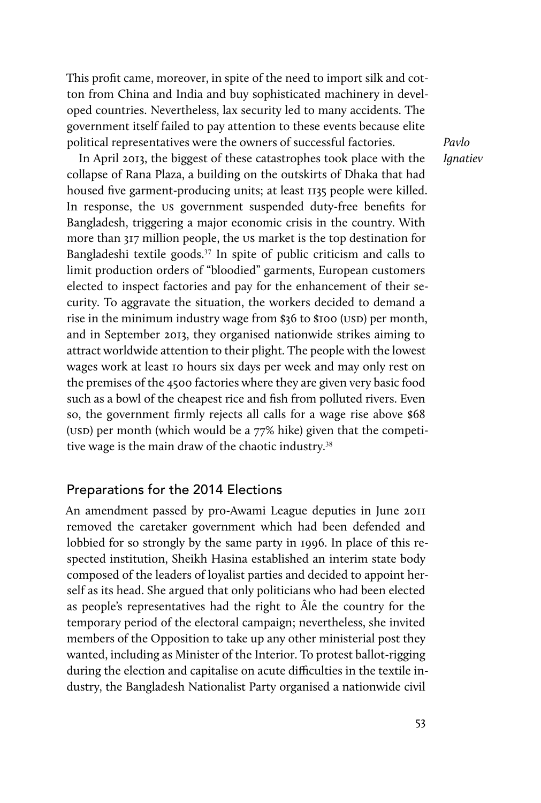This profit came, moreover, in spite of the need to import silk and cotton from China and India and buy sophisticated machinery in developed countries. Nevertheless, lax security led to many accidents. The government itself failed to pay attention to these events because elite political representatives were the owners of successful factories.

In April 2013, the biggest of these catastrophes took place with the collapse of Rana Plaza, a building on the outskirts of Dhaka that had housed five garment-producing units; at least 1135 people were killed. In response, the us government suspended duty-free benefits for Bangladesh, triggering a major economic crisis in the country. With more than 317 million people, the us market is the top destination for Bangladeshi textile goods.<sup>37</sup> In spite of public criticism and calls to limit production orders of "bloodied" garments, European customers elected to inspect factories and pay for the enhancement of their security. To aggravate the situation, the workers decided to demand a rise in the minimum industry wage from  $$36$  to  $$100$  (USD) per month, and in September 2013, they organised nationwide strikes aiming to attract worldwide attention to their plight. The people with the lowest wages work at least 10 hours six days per week and may only rest on the premises of the 4500 factories where they are given very basic food such as a bowl of the cheapest rice and fish from polluted rivers. Even so, the government firmly rejects all calls for a wage rise above \$68 (usp) per month (which would be a  $77\%$  hike) given that the competitive wage is the main draw of the chaotic industry.<sup>38</sup>

#### Preparations for the 2014 Elections

An amendment passed by pro-Awami League deputies in June 2011 removed the caretaker government which had been defended and lobbied for so strongly by the same party in 1996. In place of this respected institution, Sheikh Hasina established an interim state body composed of the leaders of loyalist parties and decided to appoint herself as its head. She argued that only politicians who had been elected as people's representatives had the right to Âle the country for the temporary period of the electoral campaign; nevertheless, she invited members of the Opposition to take up any other ministerial post they wanted, including as Minister of the Interior. To protest ballot-rigging during the election and capitalise on acute difficulties in the textile industry, the Bangladesh Nationalist Party organised a nationwide civil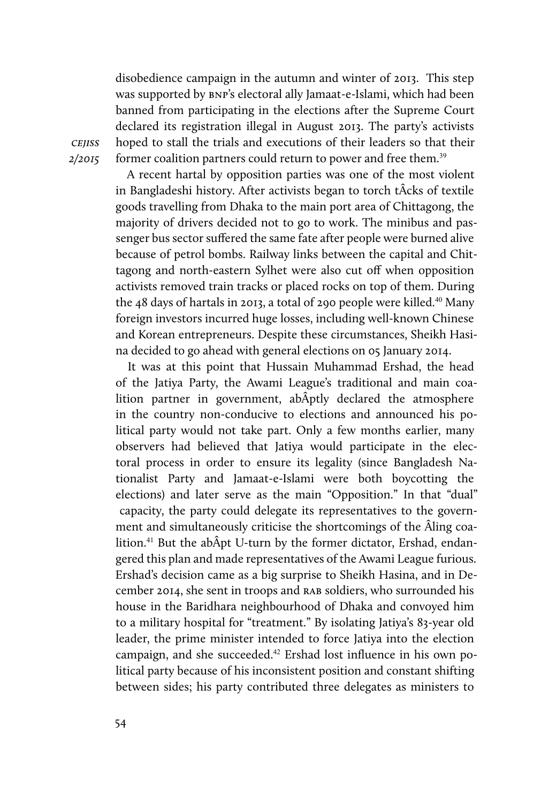disobedience campaign in the autumn and winter of 2013. This step was supported by bnp's electoral ally Jamaat-e-Islami, which had been banned from participating in the elections after the Supreme Court declared its registration illegal in August 2013. The party's activists hoped to stall the trials and executions of their leaders so that their former coalition partners could return to power and free them.<sup>39</sup>

cejiss 2/2015

A recent hartal by opposition parties was one of the most violent in Bangladeshi history. After activists began to torch tÂcks of textile goods travelling from Dhaka to the main port area of Chittagong, the majority of drivers decided not to go to work. The minibus and passenger bus sector suffered the same fate after people were burned alive because of petrol bombs. Railway links between the capital and Chittagong and north-eastern Sylhet were also cut off when opposition activists removed train tracks or placed rocks on top of them. During the 48 days of hartals in 2013, a total of 290 people were killed.<sup>40</sup> Many foreign investors incurred huge losses, including well-known Chinese and Korean entrepreneurs. Despite these circumstances, Sheikh Hasina decided to go ahead with general elections on 05 January 2014.

It was at this point that Hussain Muhammad Ershad, the head of the Jatiya Party, the Awami League's traditional and main coalition partner in government, abÂptly declared the atmosphere in the country non-conducive to elections and announced his political party would not take part. Only a few months earlier, many observers had believed that Jatiya would participate in the electoral process in order to ensure its legality (since Bangladesh Nationalist Party and Jamaat-e-Islami were both boycotting the elections) and later serve as the main "Opposition." In that "dual" capacity, the party could delegate its representatives to the government and simultaneously criticise the shortcomings of the Âling coalition.<sup>41</sup> But the abÂpt U-turn by the former dictator, Ershad, endangered this plan and made representatives of the Awami League furious. Ershad's decision came as a big surprise to Sheikh Hasina, and in December 2014, she sent in troops and rab soldiers, who surrounded his house in the Baridhara neighbourhood of Dhaka and convoyed him to a military hospital for "treatment." By isolating Jatiya's 83-year old leader, the prime minister intended to force Jatiya into the election campaign, and she succeeded.42 Ershad lost influence in his own political party because of his inconsistent position and constant shifting between sides; his party contributed three delegates as ministers to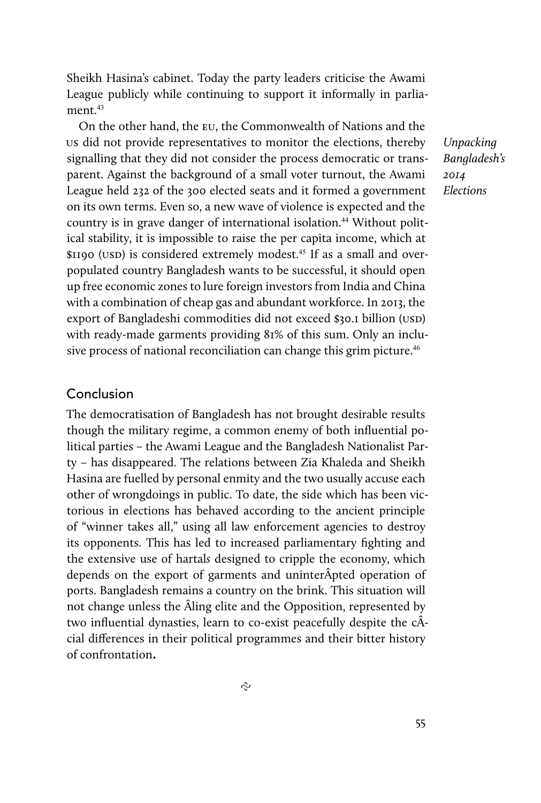Sheikh Hasina's cabinet. Today the party leaders criticise the Awami League publicly while continuing to support it informally in parliament $43$ 

On the other hand, the eu, the Commonwealth of Nations and the us did not provide representatives to monitor the elections, thereby signalling that they did not consider the process democratic or transparent. Against the background of a small voter turnout, the Awami League held 232 of the 300 elected seats and it formed a government on its own terms. Even so, a new wave of violence is expected and the country is in grave danger of international isolation.<sup>44</sup> Without political stability, it is impossible to raise the per capita income, which at \$1190 (USD) is considered extremely modest.<sup>45</sup> If as a small and overpopulated country Bangladesh wants to be successful, it should open up free economic zones to lure foreign investors from India and China with a combination of cheap gas and abundant workforce. In 2013, the export of Bangladeshi commodities did not exceed \$30.1 billion (USD) with ready-made garments providing 81% of this sum. Only an inclusive process of national reconciliation can change this grim picture.<sup>46</sup>

#### Conclusion

The democratisation of Bangladesh has not brought desirable results though the military regime, a common enemy of both influential political parties – the Awami League and the Bangladesh Nationalist Party – has disappeared. The relations between Zia Khaleda and Sheikh Hasina are fuelled by personal enmity and the two usually accuse each other of wrongdoings in public. To date, the side which has been victorious in elections has behaved according to the ancient principle of "winner takes all," using all law enforcement agencies to destroy its opponents. This has led to increased parliamentary fighting and the extensive use of hartals designed to cripple the economy, which depends on the export of garments and uninterÂpted operation of ports. Bangladesh remains a country on the brink. This situation will not change unless the Âling elite and the Opposition, represented by two influential dynasties, learn to co-exist peacefully despite the cÂcial differences in their political programmes and their bitter history of confrontation.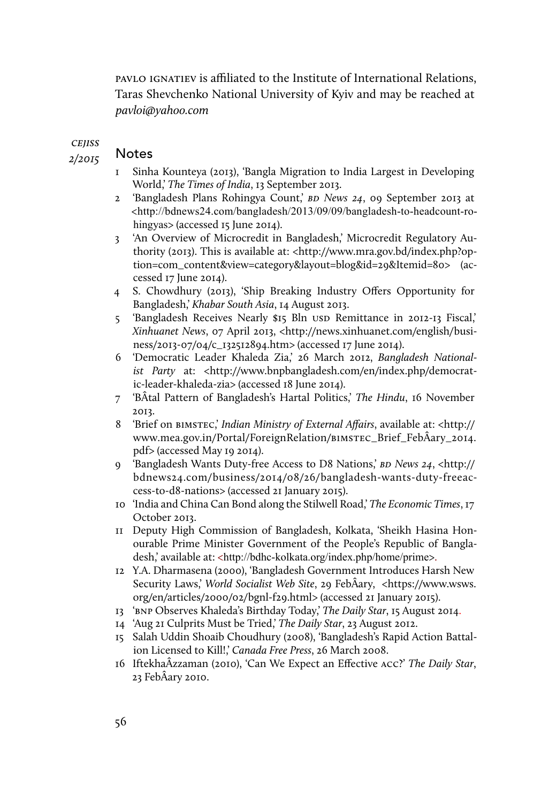pavlo ignatiev is afliated to the Institute of International Relations, Taras Shevchenko National University of Kyiv and may be reached at pavloi@yahoo.com

**CEJISS** 

2/2015

### Notes

- 1 Sinha Kounteya (2013), 'Bangla Migration to India Largest in Developing World,' The Times of India, 13 September 2013.
- 2 'Bangladesh Plans Rohingya Count,' BD News 24, 09 September 2013 at <http://bdnews24.com/bangladesh/2013/09/09/bangladesh-to-headcount-rohingyas> (accessed 15 June 2014).
- 3 'An Overview of Microcredit in Bangladesh,' Microcredit Regulatory Authority (2013). This is available at: <http://www.mra.gov.bd/index.php?option=com\_content&view=category&layout=blog&id=29&Itemid=80> (accessed 17 June 2014).
- 4 S. Chowdhury (2013), 'Ship Breaking Industry Offers Opportunity for Bangladesh,' Khabar South Asia, 14 August 2013.
- 5 'Bangladesh Receives Nearly \$15 Bln USD Remittance in 2012-13 Fiscal,' Xinhuanet News, 07 April 2013, <http://news.xinhuanet.com/english/business/2013-07/04/c\_132512894.htm> (accessed 17 June 2014).
- 6 'Democratic Leader Khaleda Zia,' 26 March 2012, Bangladesh Nationalist Party at: <http://www.bnpbangladesh.com/en/index.php/democratic-leader-khaleda-zia> (accessed 18 June 2014).
- 7 'BÂtal Pattern of Bangladesh's Hartal Politics,' The Hindu, 16 November 2013.
- 8 'Brief on BIMSTEC,' Indian Ministry of External Affairs, available at: <http:// www.mea.gov.in/Portal/ForeignRelation/bimstec\_Brief\_FebÂary\_2014. pdf> (accessed May 19 2014).
- 9 'Bangladesh Wants Duty-free Access to D8 Nations,' BD News 24, <http:// bdnews24.com/business/2014/08/26/bangladesh-wants-duty-freeaccess-to-d8-nations> (accessed 21 January 2015).
- 10 'India and China Can Bond along the Stilwell Road,' The Economic Times, 17 October 2013.
- 11 Deputy High Commission of Bangladesh, Kolkata, 'Sheikh Hasina Honourable Prime Minister Government of the People's Republic of Bangladesh,' available at: <http://bdhc-kolkata.org/index.php/home/prime>.
- 12 Y.A. Dharmasena (2000), 'Bangladesh Government Introduces Harsh New Security Laws,' World Socialist Web Site, 29 FebÂary, <https://www.wsws. org/en/articles/2000/02/bgnl-f29.html> (accessed 21 January 2015).
- 13 'bnp Observes Khaleda's Birthday Today,' The Daily Star, 15 August 2014.
- 14 'Aug 21 Culprits Must be Tried,' The Daily Star, 23 August 2012.
- 15 Salah Uddin Shoaib Choudhury (2008), 'Bangladesh's Rapid Action Battalion Licensed to Kill!,' Canada Free Press, 26 March 2008.
- 16 IftekhaÂzzaman (2010), 'Can We Expect an Effective acc?' The Daily Star, 23 FebÂary 2010.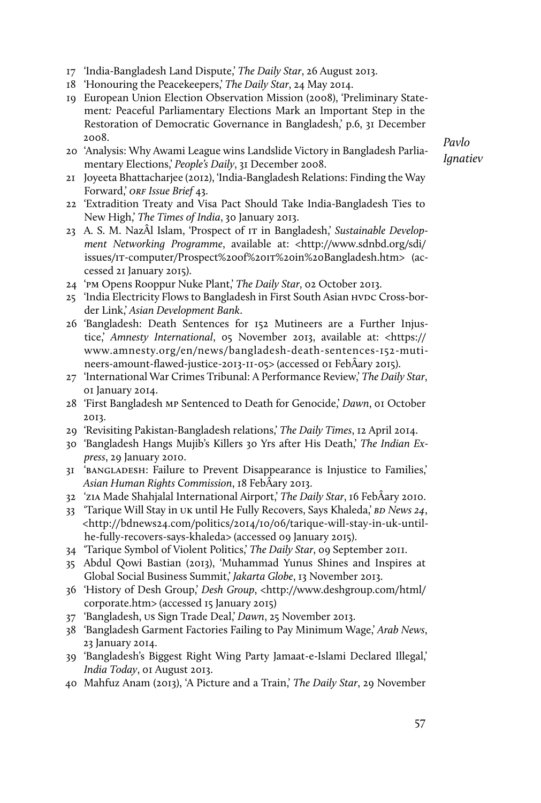- 17 'India-Bangladesh Land Dispute,' The Daily Star, 26 August 2013.
- 18 'Honouring the Peacekeepers,' The Daily Star, 24 May 2014.
- 19 European Union Election Observation Mission (2008), 'Preliminary Statement: Peaceful Parliamentary Elections Mark an Important Step in the Restoration of Democratic Governance in Bangladesh,' p.6, 31 December 2008.
- 20 'Analysis: Why Awami League wins Landslide Victory in Bangladesh Parliamentary Elections,' People's Daily, 31 December 2008.

- 21 Joyeeta Bhattacharjee (2012), 'India-Bangladesh Relations: Finding the Way Forward,' ORF Issue Brief 43.
- 22 'Extradition Treaty and Visa Pact Should Take India-Bangladesh Ties to New High,' The Times of India, 30 January 2013.
- 23 A. S. M. NazÂl Islam, 'Prospect of IT in Bangladesh,' Sustainable Development Networking Programme, available at: <http://www.sdnbd.org/sdi/ issues/it-computer/Prospect%20of%20it%20in%20Bangladesh.htm> (accessed 21 January 2015).
- 24 'pm Opens Rooppur Nuke Plant,' The Daily Star, 02 October 2013.
- 25 'India Electricity Flows to Bangladesh in First South Asian HVDC Cross-border Link,' Asian Development Bank.
- 26 'Bangladesh: Death Sentences for 152 Mutineers are a Further Injustice,' Amnesty International, 05 November 2013, available at: <https:// www.amnesty.org/en/news/bangladesh-death-sentences-152-mutineers-amount-flawed-justice-2013-11-05> (accessed 01 FebÂary 2015).
- 27 'International War Crimes Tribunal: A Performance Review,' The Daily Star, 01 January 2014.
- 28 'First Bangladesh mp Sentenced to Death for Genocide,' Dawn, 01 October 2013.
- 29 'Revisiting Pakistan-Bangladesh relations,' The Daily Times, 12 April 2014.
- 30 'Bangladesh Hangs Mujib's Killers 30 Yrs after His Death,' The Indian Express, 29 January 2010.
- 31 'bangladesh: Failure to Prevent Disappearance is Injustice to Families,' Asian Human Rights Commission, 18 FebÂary 2013.
- 32 'zia Made Shahjalal International Airport,' The Daily Star, 16 FebÂary 2010.
- 33 'Tarique Will Stay in UK until He Fully Recovers, Says Khaleda,' BD News 24, <http://bdnews24.com/politics/2014/10/06/tarique-will-stay-in-uk-untilhe-fully-recovers-says-khaleda> (accessed 09 January 2015).
- 34 'Tarique Symbol of Violent Politics,' The Daily Star, 09 September 2011.
- 35 Abdul Qowi Bastian (2013), 'Muhammad Yunus Shines and Inspires at Global Social Business Summit,' Jakarta Globe, 13 November 2013.
- 36 'History of Desh Group,' Desh Group, <http://www.deshgroup.com/html/ corporate.htm> (accessed 15 January 2015)
- 37 'Bangladesh, us Sign Trade Deal,' Dawn, 25 November 2013.
- 38 'Bangladesh Garment Factories Failing to Pay Minimum Wage,' Arab News, 23 January 2014.
- 39 'Bangladesh's Biggest Right Wing Party Jamaat-e-Islami Declared Illegal,' India Today, 01 August 2013.
- 40 Mahfuz Anam (2013), 'A Picture and a Train,' The Daily Star, 29 November